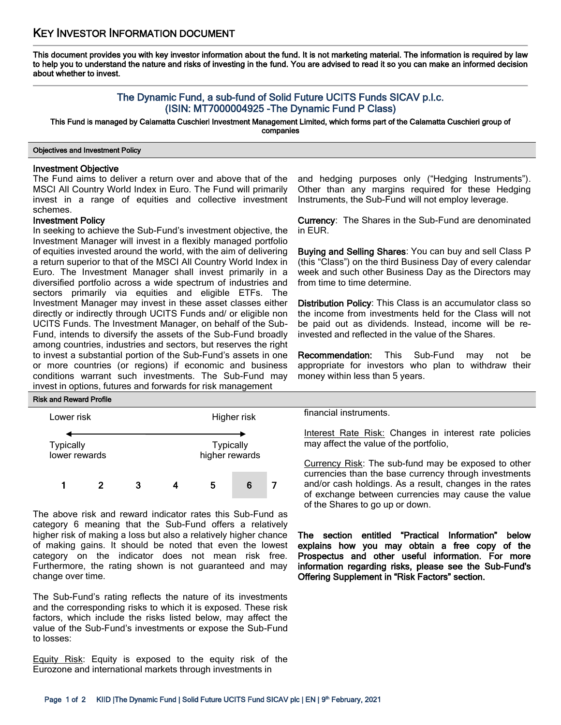This document provides you with key investor information about the fund. It is not marketing material. The information is required by law to help you to understand the nature and risks of investing in the fund. You are advised to read it so you can make an informed decision about whether to invest.

# The Dynamic Fund, a sub-fund of Solid Future UCITS Funds SICAV p.l.c. (ISIN: MT7000004925 -The Dynamic Fund P Class)

This Fund is managed by Calamatta Cuschieri Investment Management Limited, which forms part of the Calamatta Cuschieri group of companies

## Objectives and Investment Policy

## Investment Objective

The Fund aims to deliver a return over and above that of the MSCI All Country World Index in Euro. The Fund will primarily invest in a range of equities and collective investment schemes.

### Investment Policy

In seeking to achieve the Sub-Fund's investment objective, the Investment Manager will invest in a flexibly managed portfolio of equities invested around the world, with the aim of delivering a return superior to that of the MSCI All Country World Index in Euro. The Investment Manager shall invest primarily in a diversified portfolio across a wide spectrum of industries and sectors primarily via equities and eligible ETFs. The Investment Manager may invest in these asset classes either directly or indirectly through UCITS Funds and/ or eligible non UCITS Funds. The Investment Manager, on behalf of the Sub-Fund, intends to diversify the assets of the Sub-Fund broadly among countries, industries and sectors, but reserves the right to invest a substantial portion of the Sub-Fund's assets in one or more countries (or regions) if economic and business conditions warrant such investments. The Sub-Fund may invest in options, futures and forwards for risk management

### Risk and Reward Profile



The above risk and reward indicator rates this Sub-Fund as category 6 meaning that the Sub-Fund offers a relatively higher risk of making a loss but also a relatively higher chance of making gains. It should be noted that even the lowest category on the indicator does not mean risk free. Furthermore, the rating shown is not guaranteed and may change over time.

The Sub-Fund's rating reflects the nature of its investments and the corresponding risks to which it is exposed. These risk factors, which include the risks listed below, may affect the value of the Sub-Fund's investments or expose the Sub-Fund to losses:

Equity Risk: Equity is exposed to the equity risk of the Eurozone and international markets through investments in

and hedging purposes only ("Hedging Instruments"). Other than any margins required for these Hedging Instruments, the Sub-Fund will not employ leverage.

Currency: The Shares in the Sub-Fund are denominated in EUR.

Buying and Selling Shares: You can buy and sell Class P (this "Class") on the third Business Day of every calendar week and such other Business Day as the Directors may from time to time determine.

Distribution Policy: This Class is an accumulator class so the income from investments held for the Class will not be paid out as dividends. Instead, income will be reinvested and reflected in the value of the Shares.

Recommendation: This Sub-Fund may not be appropriate for investors who plan to withdraw their money within less than 5 years.

financial instruments.

Interest Rate Risk: Changes in interest rate policies may affect the value of the portfolio,

Currency Risk: The sub-fund may be exposed to other currencies than the base currency through investments and/or cash holdings. As a result, changes in the rates of exchange between currencies may cause the value of the Shares to go up or down.

The section entitled "Practical Information" below explains how you may obtain a free copy of the Prospectus and other useful information. For more information regarding risks, please see the Sub-Fund's Offering Supplement in "Risk Factors" section.